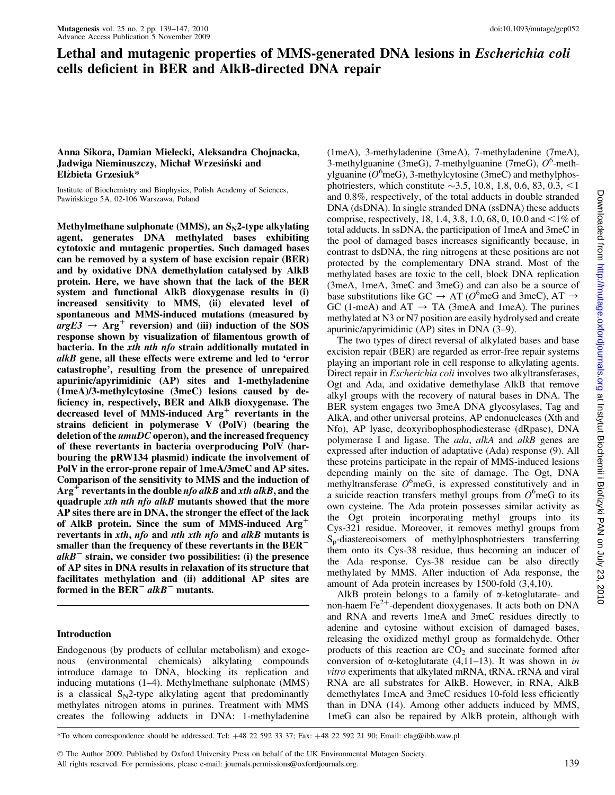# Lethal and mutagenic properties of MMS-generated DNA lesions in Escherichia coli cells deficient in BER and AlkB-directed DNA repair

## Anna Sikora, Damian Mielecki, Aleksandra Chojnacka, Jadwiga Nieminuszczy, Michał Wrzesiński and Elzbieta Grzesiuk\* *\_*

Institute of Biochemistry and Biophysics, Polish Academy of Sciences, Pawińskiego 5A, 02-106 Warszawa, Poland

Methylmethane sulphonate (MMS), an  $S_N^2$ -type alkylating agent, generates DNA methylated bases exhibiting cytotoxic and mutagenic properties. Such damaged bases can be removed by a system of base excision repair (BER) and by oxidative DNA demethylation catalysed by AlkB protein. Here, we have shown that the lack of the BER system and functional AlkB dioxygenase results in (i) increased sensitivity to MMS, (ii) elevated level of spontaneous and MMS-induced mutations (measured by  $argE3 \rightarrow Arg^+$  reversion) and (iii) induction of the SOS response shown by visualization of filamentous growth of bacteria. In the xth nth nfo strain additionally mutated in alkB gene, all these effects were extreme and led to 'error catastrophe', resulting from the presence of unrepaired apurinic/apyrimidinic (AP) sites and 1-methyladenine (1meA)/3-methylcytosine (3meC) lesions caused by deficiency in, respectively, BER and AlkB dioxygenase. The decreased level of MMS-induced  $Arg<sup>+</sup>$  revertants in the strains deficient in polymerase V (PolV) (bearing the deletion of the  $umuDC$  operon), and the increased frequency of these revertants in bacteria overproducing PolV (harbouring the pRW134 plasmid) indicate the involvement of PolV in the error-prone repair of 1meA/3meC and AP sites. Comparison of the sensitivity to MMS and the induction of  $Arg<sup>+</sup>$  revertants in the double *nfo alkB* and *xth alkB*, and the quadruple xth nth nfo alkB mutants showed that the more AP sites there are in DNA, the stronger the effect of the lack of AlkB protein. Since the sum of MMS-induced  $Arg^+$ revertants in xth, nfo and nth xth nfo and alkB mutants is smaller than the frequency of these revertants in the  $BER$ <sup>-</sup>  $alkB^-$  strain, we consider two possibilities: (i) the presence of AP sites in DNA results in relaxation of its structure that facilitates methylation and (ii) additional AP sites are formed in the  $BER^-$  alkB<sup>-</sup> mutants.

# Introduction

Endogenous (by products of cellular metabolism) and exogenous (environmental chemicals) alkylating compounds introduce damage to DNA, blocking its replication and inducing mutations (1–4). Methylmethane sulphonate (MMS) is a classical  $S_N$ 2-type alkylating agent that predominantly methylates nitrogen atoms in purines. Treatment with MMS creates the following adducts in DNA: 1-methyladenine

(1meA), 3-methyladenine (3meA), 7-methyladenine (7meA), 3-methylguanine (3meG), 7-methylguanine (7meG),  $O^6$ -methylguanine ( $O^6$ meG), 3-methylcytosine (3meC) and methylphosphotriesters, which constitute  $\sim$ 3.5, 10.8, 1.8, 0.6, 83, 0.3, <1 and 0.8%, respectively, of the total adducts in double stranded DNA (dsDNA). In single stranded DNA (ssDNA) these adducts comprise, respectively, 18, 1.4, 3.8, 1.0, 68, 0, 10.0 and <1% of total adducts. In ssDNA, the participation of 1meA and 3meC in the pool of damaged bases increases significantly because, in contrast to dsDNA, the ring nitrogens at these positions are not protected by the complementary DNA strand. Most of the methylated bases are toxic to the cell, block DNA replication (3meA, 1meA, 3meC and 3meG) and can also be a source of base substitutions like GC  $\rightarrow$  AT ( $O^6$ meG and 3meC), AT  $\rightarrow$ GC (1-meA) and  $AT \rightarrow TA$  (3meA and 1meA). The purines methylated at N3 or N7 position are easily hydrolysed and create apurinic/apyrimidinic (AP) sites in DNA (3–9).

The two types of direct reversal of alkylated bases and base excision repair (BER) are regarded as error-free repair systems playing an important role in cell response to alkylating agents. Direct repair in Escherichia coli involves two alkyltransferases, Ogt and Ada, and oxidative demethylase AlkB that remove alkyl groups with the recovery of natural bases in DNA. The BER system engages two 3meA DNA glycosylases, Tag and AlkA, and other universal proteins, AP endonucleases (Xth and Nfo), AP lyase, deoxyribophosphodiesterase (dRpase), DNA polymerase I and ligase. The *ada*, *alkA* and *alkB* genes are expressed after induction of adaptative (Ada) response (9). All these proteins participate in the repair of MMS-induced lesions depending mainly on the site of damage. The Ogt, DNA methyltransferase  $O^6$ meG, is expressed constitutively and in a suicide reaction transfers methyl groups from  $O^6$  meG to its own cysteine. The Ada protein possesses similar activity as the Ogt protein incorporating methyl groups into its Cys-321 residue. Moreover, it removes methyl groups from Sp-diastereoisomers of methylphosphotriesters transferring them onto its Cys-38 residue, thus becoming an inducer of the Ada response. Cys-38 residue can be also directly methylated by MMS. After induction of Ada response, the amount of Ada protein increases by 1500-fold (3,4,10).

AlkB protein belongs to a family of a-ketoglutarate- and non-haem  $Fe^{2+}$ -dependent dioxygenases. It acts both on DNA and RNA and reverts 1meA and 3meC residues directly to adenine and cytosine without excision of damaged bases, releasing the oxidized methyl group as formaldehyde. Other products of this reaction are  $CO<sub>2</sub>$  and succinate formed after conversion of  $\alpha$ -ketoglutarate (4,11–13). It was shown in in vitro experiments that alkylated mRNA, tRNA, rRNA and viral RNA are all substrates for AlkB. However, in RNA, AlkB demethylates 1meA and 3meC residues 10-fold less efficiently than in DNA (14). Among other adducts induced by MMS, 1meG can also be repaired by AlkB protein, although with

\*To whom correspondence should be addressed. Tel: +48 22 592 33 37; Fax: +48 22 592 21 90; Email: elag@ibb.waw.pl

The Author 2009. Published by Oxford University Press on behalf of the UK Environmental Mutagen Society.

All rights reserved. For permissions, please e-mail: journals.permissions@oxfordjournals.org. 139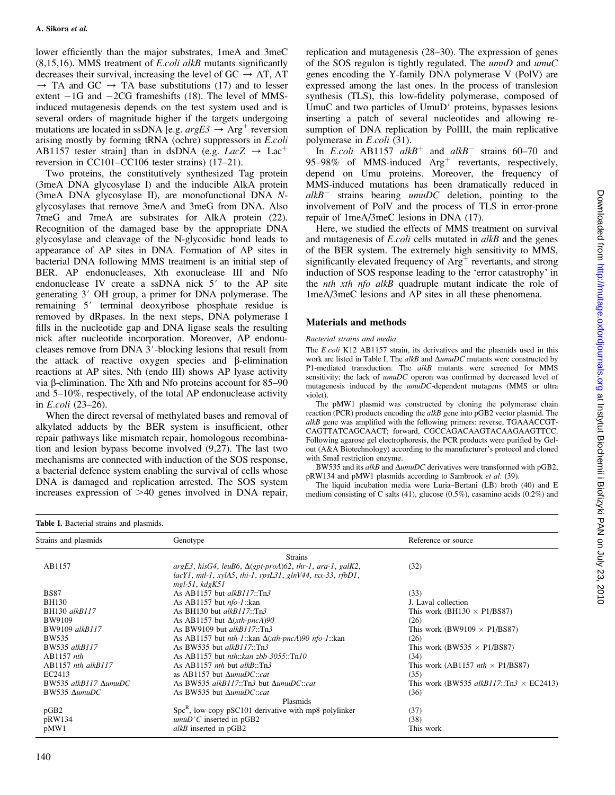lower efficiently than the major substrates, 1meA and 3meC  $(8,15,16)$ . MMS treatment of *E.coli alkB* mutants significantly decreases their survival, increasing the level of  $GC \rightarrow AT$ , AT  $\rightarrow$  TA and GC  $\rightarrow$  TA base substitutions (17) and to lesser extent  $-1G$  and  $-2CG$  frameshifts (18). The level of MMSinduced mutagenesis depends on the test system used and is several orders of magnitude higher if the targets undergoing mutations are located in ssDNA [e.g.  $argE3 \rightarrow Arg^{+}$  reversion arising mostly by forming tRNA (ochre) suppressors in E.coli AB1157 tester strain] than in dsDNA (e.g.  $LacZ \rightarrow Lac^+$ reversion in CC101–CC106 tester strains) (17–21).

Two proteins, the constitutively synthesized Tag protein (3meA DNA glycosylase I) and the inducible AlkA protein (3meA DNA glycosylase II), are monofunctional DNA Nglycosylases that remove 3meA and 3meG from DNA. Also 7meG and 7meA are substrates for AlkA protein (22). Recognition of the damaged base by the appropriate DNA glycosylase and cleavage of the N-glycosidic bond leads to appearance of AP sites in DNA. Formation of AP sites in bacterial DNA following MMS treatment is an initial step of BER. AP endonucleases, Xth exonuclease III and Nfo endonuclease IV create a  $ssDNA$  nick  $5'$  to the AP site generating 3' OH group, a primer for DNA polymerase. The remaining 5' terminal deoxyribose phosphate residue is removed by dRpases. In the next steps, DNA polymerase I fills in the nucleotide gap and DNA ligase seals the resulting nick after nucleotide incorporation. Moreover, AP endonucleases remove from DNA 3'-blocking lesions that result from the attack of reactive oxygen species and  $\beta$ -elimination reactions at AP sites. Nth (endo III) shows AP lyase activity via  $\beta$ -elimination. The Xth and Nfo proteins account for 85–90 and 5–10%, respectively, of the total AP endonuclease activity in E.coli (23–26).

When the direct reversal of methylated bases and removal of alkylated adducts by the BER system is insufficient, other repair pathways like mismatch repair, homologous recombination and lesion bypass become involved (9,27). The last two mechanisms are connected with induction of the SOS response, a bacterial defence system enabling the survival of cells whose DNA is damaged and replication arrested. The SOS system increases expression of  $>40$  genes involved in DNA repair,

replication and mutagenesis (28–30). The expression of genes of the SOS regulon is tightly regulated. The umuD and umuC genes encoding the Y-family DNA polymerase V (PolV) are expressed among the last ones. In the process of translesion synthesis (TLS), this low-fidelity polymerase, composed of UmuC and two particles of UmuD' proteins, bypasses lesions inserting a patch of several nucleotides and allowing resumption of DNA replication by PolIII, the main replicative polymerase in E.coli (31).

In *E.coli* AB1157  $aIkB$ <sup>+</sup> and  $alkB$ <sup>-</sup> strains 60–70 and 95–98% of MMS-induced  $Arg<sup>+</sup>$  revertants, respectively, depend on Umu proteins. Moreover, the frequency of MMS-induced mutations has been dramatically reduced in  $alkB^-$  strains bearing umuDC deletion, pointing to the involvement of PolV and the process of TLS in error-prone repair of 1meA/3meC lesions in DNA (17).

Here, we studied the effects of MMS treatment on survival and mutagenesis of *E.coli* cells mutated in *alkB* and the genes of the BER system. The extremely high sensitivity to MMS, significantly elevated frequency of  $Arg<sup>+</sup>$  revertants, and strong induction of SOS response leading to the 'error catastrophy' in the *nth xth nfo alkB* quadruple mutant indicate the role of 1meA/3meC lesions and AP sites in all these phenomena.

## Materials and methods

## Bacterial strains and media

The E.coli K12 AB1157 strain, its derivatives and the plasmids used in this work are listed in Table I. The  $alkB$  and  $\Delta u m \mu DC$  mutants were constructed by P1-mediated transduction. The alkB mutants were screened for MMS sensitivity; the lack of  $umuDC$  operon was confirmed by decreased level of mutagenesis induced by the umuDC-dependent mutagens (MMS or ultra violet).

The pMW1 plasmid was constructed by cloning the polymerase chain reaction (PCR) products encoding the *alkB* gene into pGB2 vector plasmid. The alkB gene was amplified with the following primers: reverse, TGAAACCGT-CAGTTATCAGCAACT; forward, CGCCAGACAAGTACAAGAAGTTCC. Following agarose gel electrophoresis, the PCR products were purified by Gelout (A&A Biotechnology) according to the manufacturer's protocol and cloned with SmaI restriction enzyme.

BW535 and its alkB and  $\Delta$ umuDC derivatives were transformed with pGB2, pRW134 and pMW1 plasmids according to Sambrook et al. (39).

The liquid incubation media were Luria–Bertani (LB) broth (40) and E medium consisting of C salts (41), glucose (0.5%), casamino acids (0.2%) and

#### Table I. Bacterial strains and plasmids.

| Strains and plasmids         | Genotype                                                                        | Reference or source                            |  |  |
|------------------------------|---------------------------------------------------------------------------------|------------------------------------------------|--|--|
|                              | <b>Strains</b>                                                                  |                                                |  |  |
| AB1157                       | $argE3$ , hisG4, leuB6, $\Delta(gpt-proA)$ 62, thr-1, ara-1, galK2,             | (32)                                           |  |  |
|                              | $lacY1$ , mtl-1, xylA5, thi-1, rpsL31, glnV44, tsx-33, rfbD1,                   |                                                |  |  |
|                              | $mgl-51$ , $kdgK51$                                                             |                                                |  |  |
| <b>BS87</b>                  | As AB1157 but alkB117::Tn3                                                      | (33)                                           |  |  |
| <b>BH130</b>                 | As AB1157 but $nfo-1$ ::kan                                                     | J. Laval collection                            |  |  |
| BH130 alkB117                | As BH130 but $alkB117::Tn3$                                                     | This work (BH130 $\times$ P1/BS87)             |  |  |
| <b>BW9109</b>                | As AB1157 but $\Delta(xth\text{-}pncA)90$                                       | (26)                                           |  |  |
| BW9109 alkB117               | As BW9109 but <i>alkB117</i> ::Tn3                                              | This work (BW9109 $\times$ P1/BS87)            |  |  |
| <b>BW535</b>                 | As AB1157 but <i>nth-1</i> ::kan $\Delta(xth\text{-}pncA)90$ <i>nfo-1</i> ::kan | (26)                                           |  |  |
| BW535 alkB117                | As BW535 but <i>alkB117</i> ::Tn3                                               | This work (BW535 $\times$ P1/BS87)             |  |  |
| $AB1157$ nth                 | As AB1157 but <i>nth</i> :: $kan zbb-3055::Tn10$                                | (34)                                           |  |  |
| $AB1157$ nth alk $B117$      | As AB1157 <i>nth</i> but $alkB::Tn3$                                            | This work (AB1157 <i>nth</i> $\times$ P1/BS87) |  |  |
| EC2413                       | as AB1157 but $\Delta$ umuDC::cat                                               | (35)                                           |  |  |
| BW535 alkB117 $\Delta$ umuDC | As BW535 alkB117::Tn3 but $\Delta$ umuDC::cat                                   | This work (BW535 alkB117::Tn3 $\times$ EC2413) |  |  |
| BW535 AumuDC                 | As BW535 but $\Delta$ umuDC::cat                                                | (36)                                           |  |  |
|                              | Plasmids                                                                        |                                                |  |  |
| pGB2                         | $SpcR$ , low-copy pSC101 derivative with mp8 polylinker                         | (37)                                           |  |  |
| pRW134                       | $umuD'C$ inserted in pGB2                                                       | (38)                                           |  |  |
| pMW1                         | alkB inserted in pGB2                                                           | This work                                      |  |  |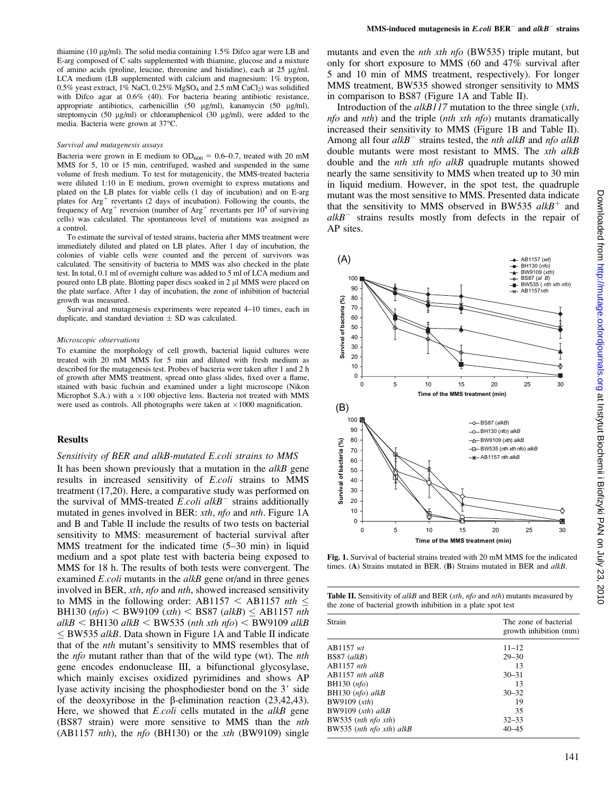thiamine (10  $\mu$ g/ml). The solid media containing 1.5% Difco agar were LB and E-arg composed of C salts supplemented with thiamine, glucose and a mixture of amino acids (proline, leucine, threonine and histidine), each at  $25 \mu g/ml$ . LCA medium (LB supplemented with calcium and magnesium:  $1\%$  trypton, 0.5% yeast extract,  $1\%$  NaCl, 0.25% MgSO<sub>4</sub> and 2.5 mM CaCl<sub>2</sub>) was solidified with Difco agar at 0.6% (40). For bacteria bearing antibiotic resistance, appropriate antibiotics, carbenicillin (50 µg/ml), kanamycin (50 µg/ml), streptomycin (50  $\mu$ g/ml) or chloramphenicol (30  $\mu$ g/ml), were added to the media. Bacteria were grown at 37°C.

#### Survival and mutagenesis assays

Bacteria were grown in E medium to  $OD_{600} = 0.6{\text -}0.7$ , treated with 20 mM MMS for 5, 10 or 15 min, centrifuged, washed and suspended in the same volume of fresh medium. To test for mutagenicity, the MMS-treated bacteria were diluted 1:10 in E medium, grown overnight to express mutations and plated on the LB plates for viable cells (1 day of incubation) and on E-arg plates for  $Arg<sup>+</sup>$  revertants (2 days of incubation). Following the counts, the frequency of  $Arg<sup>+</sup>$  reversion (number of  $Arg<sup>+</sup>$  revertants per  $10<sup>8</sup>$  of surviving cells) was calculated. The spontaneous level of mutations was assigned as a control.

To estimate the survival of tested strains, bacteria after MMS treatment were immediately diluted and plated on LB plates. After 1 day of incubation, the colonies of viable cells were counted and the percent of survivors was calculated. The sensitivity of bacteria to MMS was also checked in the plate test. In total, 0.1 ml of overnight culture was added to 5 ml of LCA medium and poured onto LB plate. Blotting paper discs soaked in 2 µl MMS were placed on the plate surface. After 1 day of incubation, the zone of inhibition of bacterial growth was measured.

Survival and mutagenesis experiments were repeated 4–10 times, each in duplicate, and standard deviation  $\pm$  SD was calculated.

#### Microscopic observations

To examine the morphology of cell growth, bacterial liquid cultures were treated with 20 mM MMS for 5 min and diluted with fresh medium as described for the mutagenesis test. Probes of bacteria were taken after 1 and 2 h of growth after MMS treatment, spread onto glass slides, fixed over a flame, stained with basic fuchsin and examined under a light microscope (Nikon Microphot S.A.) with a  $\times 100$  objective lens. Bacteria not treated with MMS were used as controls. All photographs were taken at  $\times 1000$  magnification.

#### Results

## Sensitivity of BER and alkB-mutated E.coli strains to MMS

It has been shown previously that a mutation in the  $alkB$  gene results in increased sensitivity of E.coli strains to MMS treatment (17,20). Here, a comparative study was performed on the survival of MMS-treated  $\vec{E}$  coli alkB<sup>-</sup> strains additionally mutated in genes involved in BER: xth, nfo and nth. Figure 1A and B and Table II include the results of two tests on bacterial sensitivity to MMS: measurement of bacterial survival after MMS treatment for the indicated time (5–30 min) in liquid medium and a spot plate test with bacteria being exposed to MMS for 18 h. The results of both tests were convergent. The examined *E.coli* mutants in the *alkB* gene or/and in three genes involved in BER, xth, nfo and nth, showed increased sensitivity to MMS in the following order: AB1157  $\lt$  AB1157 *nth*  $\lt$ BH130 ( $nfo$ ) < BW9109 ( $xth$ ) < BS87 ( $alkB$ )  $\leq$  AB1157  $nth$ alkB < BH130 alkB < BW535 (nth xth nfo) < BW9109 alkB  $\leq$  BW535 alkB. Data shown in Figure 1A and Table II indicate that of the nth mutant's sensitivity to MMS resembles that of the nfo mutant rather than that of the wild type (wt). The nth gene encodes endonuclease III, a bifunctional glycosylase, which mainly excises oxidized pyrimidines and shows AP lyase activity incising the phosphodiester bond on the 3' side of the deoxyribose in the  $\beta$ -elimination reaction (23,42,43). Here, we showed that  $E. coli$  cells mutated in the  $alkB$  gene (BS87 strain) were more sensitive to MMS than the nth (AB1157 nth), the nfo (BH130) or the  $xth$  (BW9109) single

mutants and even the *nth xth nfo* (BW535) triple mutant, but only for short exposure to MMS (60 and 47% survival after 5 and 10 min of MMS treatment, respectively). For longer MMS treatment, BW535 showed stronger sensitivity to MMS in comparison to BS87 (Figure 1A and Table II).

Introduction of the *alkB117* mutation to the three single (*xth*,  $nfo$  and nth) and the triple (nth xth nfo) mutants dramatically increased their sensitivity to MMS (Figure 1B and Table II). Among all four  $alkB^-$  strains tested, the *nth alkB* and *nfo alkB* double mutants were most resistant to MMS. The *xth alkB* double and the nth xth nfo alkB quadruple mutants showed nearly the same sensitivity to MMS when treated up to 30 min in liquid medium. However, in the spot test, the quadruple mutant was the most sensitive to MMS. Presented data indicate that the sensitivity to MMS observed in BW535  $alkB<sup>+</sup>$  and  $alkB^-$  strains results mostly from defects in the repair of AP sites.



Fig. 1. Survival of bacterial strains treated with 20 mM MMS for the indicated times. (A) Strains mutated in BER. (B) Strains mutated in BER and alkB.

Table II. Sensitivity of  $alkB$  and BER (xth, nfo and nth) mutants measured by the zone of bacterial growth inhibition in a plate spot test

| Strain                   | The zone of bacterial<br>growth inhibition (mm) |  |  |
|--------------------------|-------------------------------------------------|--|--|
| AB1157 wt                | $11 - 12$                                       |  |  |
| $BS87$ (alkB)            | $29 - 30$                                       |  |  |
| $AB1157$ nth             | 13                                              |  |  |
| $AB1157$ nth alkB        | $30 - 31$                                       |  |  |
| BH130 $(nfo)$            | 13                                              |  |  |
| BH130 $(nfo)$ alkB       | $30 - 32$                                       |  |  |
| BW9109 $(xth)$           | 19                                              |  |  |
| BW9109 $(xth)$ alkB      | 35                                              |  |  |
| BW535 (nth $nfo$ xth)    | $32 - 33$                                       |  |  |
| BW535 (nth nfo xth) alkB | $40 - 45$                                       |  |  |
|                          |                                                 |  |  |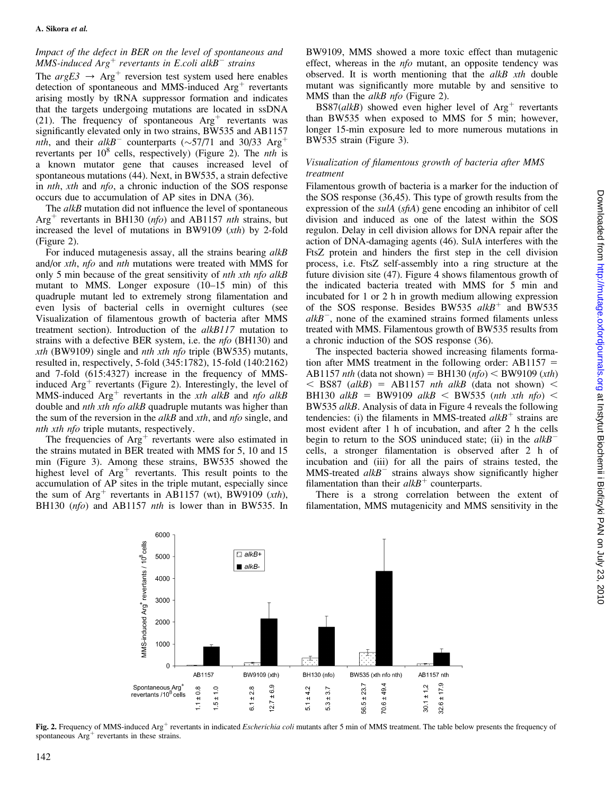## Impact of the defect in BER on the level of spontaneous and MMS-induced  $\text{Arg}^+$  revertants in E.coli alk $\text{B}^-$  strains

The  $argE3 \rightarrow Arg^+$  reversion test system used here enables detection of spontaneous and MMS-induced  $Arg<sup>+</sup>$  revertants arising mostly by tRNA suppressor formation and indicates that the targets undergoing mutations are located in ssDNA (21). The frequency of spontaneous  $Arg<sup>+</sup>$  revertants was significantly elevated only in two strains, BW535 and AB1157 nth, and their  $alkB^-$  counterparts ( $\sim$ 57/71 and 30/33 Arg<sup>+</sup> revertants per  $10^8$  cells, respectively) (Figure 2). The *nth* is a known mutator gene that causes increased level of spontaneous mutations (44). Next, in BW535, a strain defective in nth, xth and nfo, a chronic induction of the SOS response occurs due to accumulation of AP sites in DNA (36).

The *alkB* mutation did not influence the level of spontaneous  $Arg<sup>+</sup>$  revertants in BH130 (*nfo*) and AB1157 *nth* strains, but increased the level of mutations in BW9109 (xth) by 2-fold (Figure 2).

For induced mutagenesis assay, all the strains bearing alkB and/or xth, nfo and nth mutations were treated with MMS for only 5 min because of the great sensitivity of *nth xth nfo alkB* mutant to MMS. Longer exposure (10–15 min) of this quadruple mutant led to extremely strong filamentation and even lysis of bacterial cells in overnight cultures (see Visualization of filamentous growth of bacteria after MMS treatment section). Introduction of the alkB117 mutation to strains with a defective BER system, i.e. the nfo (BH130) and *xth* (BW9109) single and *nth xth nfo* triple (BW535) mutants, resulted in, respectively, 5-fold (345:1782), 15-fold (140:2162) and 7-fold (615:4327) increase in the frequency of MMSinduced  $Arg<sup>+</sup>$  revertants (Figure 2). Interestingly, the level of MMS-induced  $Arg<sup>+</sup>$  revertants in the xth alkB and nfo alkB double and nth xth nfo alkB quadruple mutants was higher than the sum of the reversion in the *alkB* and *xth*, and *nfo* single, and nth xth nfo triple mutants, respectively.

The frequencies of  $Arg<sup>+</sup>$  revertants were also estimated in the strains mutated in BER treated with MMS for 5, 10 and 15 min (Figure 3). Among these strains, BW535 showed the highest level of  $Arg<sup>+</sup>$  revertants. This result points to the accumulation of AP sites in the triple mutant, especially since the sum of  $Arg<sup>+</sup>$  revertants in AB1157 (wt), BW9109 (xth), BH130 (nfo) and AB1157 nth is lower than in BW535. In

BW9109, MMS showed a more toxic effect than mutagenic effect, whereas in the *nfo* mutant, an opposite tendency was observed. It is worth mentioning that the  $alkB$  xth double mutant was significantly more mutable by and sensitive to MMS than the *alkB nfo* (Figure 2).

BS87(alkB) showed even higher level of  $Arg<sup>+</sup>$  revertants than BW535 when exposed to MMS for 5 min; however, longer 15-min exposure led to more numerous mutations in BW535 strain (Figure 3).

## Visualization of filamentous growth of bacteria after MMS treatment

Filamentous growth of bacteria is a marker for the induction of the SOS response (36,45). This type of growth results from the expression of the sulA (sfiA) gene encoding an inhibitor of cell division and induced as one of the latest within the SOS regulon. Delay in cell division allows for DNA repair after the action of DNA-damaging agents (46). SulA interferes with the FtsZ protein and hinders the first step in the cell division process, i.e. FtsZ self-assembly into a ring structure at the future division site (47). Figure 4 shows filamentous growth of the indicated bacteria treated with MMS for 5 min and incubated for 1 or 2 h in growth medium allowing expression of the SOS response. Besides BW535  $alkB<sup>+</sup>$  and BW535  $alkB^-$ , none of the examined strains formed filaments unless treated with MMS. Filamentous growth of BW535 results from a chronic induction of the SOS response (36).

The inspected bacteria showed increasing filaments formation after MMS treatment in the following order:  $AB1157 =$ AB1157 *nth* (data not shown) = BH130 (*nfo*) < BW9109 (*xth*)  $<$  BS87 (alkB) = AB1157 nth alkB (data not shown)  $<$ BH130 alkB = BW9109 alkB < BW535 (nth xth nfo) < BW535 alkB. Analysis of data in Figure 4 reveals the following tendencies: (i) the filaments in MMS-treated  $alkB^+$  strains are most evident after 1 h of incubation, and after 2 h the cells begin to return to the SOS uninduced state; (ii) in the  $alkB^$ cells, a stronger filamentation is observed after 2 h of incubation and (iii) for all the pairs of strains tested, the MMS-treated  $alkB^{-}$  strains always show significantly higher filamentation than their  $alkB^+$  counterparts.

There is a strong correlation between the extent of filamentation, MMS mutagenicity and MMS sensitivity in the



Fig. 2. Frequency of MMS-induced Arg<sup>+</sup> revertants in indicated *Escherichia coli* mutants after 5 min of MMS treatment. The table below presents the frequency of spontaneous  $Arg<sup>+</sup>$  revertants in these strains.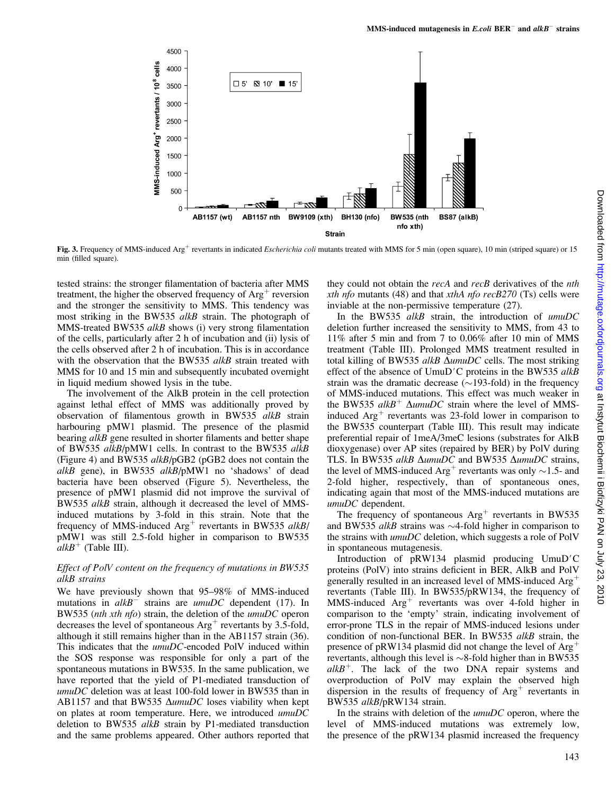

Fig. 3. Frequency of MMS-induced  $\text{Arg}^+$  revertants in indicated *Escherichia coli* mutants treated with MMS for 5 min (open square), 10 min (striped square) or 15 min (filled square).

tested strains: the stronger filamentation of bacteria after MMS treatment, the higher the observed frequency of  $Arg<sup>+</sup>$  reversion and the stronger the sensitivity to MMS. This tendency was most striking in the BW535 *alkB* strain. The photograph of MMS-treated BW535 alkB shows (i) very strong filamentation of the cells, particularly after 2 h of incubation and (ii) lysis of the cells observed after 2 h of incubation. This is in accordance with the observation that the BW535 alkB strain treated with MMS for 10 and 15 min and subsequently incubated overnight in liquid medium showed lysis in the tube.

The involvement of the AlkB protein in the cell protection against lethal effect of MMS was additionally proved by observation of filamentous growth in BW535 alkB strain harbouring pMW1 plasmid. The presence of the plasmid bearing alkB gene resulted in shorter filaments and better shape of BW535 alkB/pMW1 cells. In contrast to the BW535 alkB (Figure 4) and BW535 alkB/pGB2 (pGB2 does not contain the alkB gene), in BW535 alkB/pMW1 no 'shadows' of dead bacteria have been observed (Figure 5). Nevertheless, the presence of pMW1 plasmid did not improve the survival of BW535 alkB strain, although it decreased the level of MMSinduced mutations by 3-fold in this strain. Note that the frequency of MMS-induced  $Arg<sup>+</sup>$  revertants in BW535 alkB/ pMW1 was still 2.5-fold higher in comparison to BW535  $alkB^+$  (Table III).

## Effect of PolV content on the frequency of mutations in BW535 alkB strains

We have previously shown that 95–98% of MMS-induced mutations in  $alkB$ <sup>-</sup> strains are  $umuDC$  dependent (17). In BW535 (nth xth nfo) strain, the deletion of the umuDC operon decreases the level of spontaneous  $Arg<sup>+</sup>$  revertants by 3.5-fold, although it still remains higher than in the AB1157 strain (36). This indicates that the umuDC-encoded PolV induced within the SOS response was responsible for only a part of the spontaneous mutations in BW535. In the same publication, we have reported that the yield of P1-mediated transduction of umuDC deletion was at least 100-fold lower in BW535 than in AB1157 and that BW535  $\Delta$ umuDC loses viability when kept on plates at room temperature. Here, we introduced umuDC deletion to BW535 alkB strain by P1-mediated transduction and the same problems appeared. Other authors reported that they could not obtain the recA and recB derivatives of the nth xth nfo mutants (48) and that  $x$ thA nfo recB270 (Ts) cells were inviable at the non-permissive temperature (27).

In the BW535 alkB strain, the introduction of umuDC deletion further increased the sensitivity to MMS, from 43 to 11% after 5 min and from 7 to 0.06% after 10 min of MMS treatment (Table III). Prolonged MMS treatment resulted in total killing of BW535 alkB  $\Delta$ umuDC cells. The most striking effect of the absence of UmuD'C proteins in the BW535  $alkB$ strain was the dramatic decrease  $(\sim 193$ -fold) in the frequency of MMS-induced mutations. This effect was much weaker in the BW535 alkB<sup>+</sup>  $\Delta$ umuDC strain where the level of MMSinduced  $Arg<sup>+</sup>$  revertants was 23-fold lower in comparison to the BW535 counterpart (Table III). This result may indicate preferential repair of 1meA/3meC lesions (substrates for AlkB dioxygenase) over AP sites (repaired by BER) by PolV during TLS. In BW535 alkB  $\Delta$ umuDC and BW535  $\Delta$ umuDC strains, the level of MMS-induced  $Arg<sup>+</sup>$  revertants was only  $\sim$ 1.5- and 2-fold higher, respectively, than of spontaneous ones, indicating again that most of the MMS-induced mutations are umuDC dependent.

The frequency of spontaneous  $Arg<sup>+</sup>$  revertants in BW535 and BW535 alkB strains was  $\sim$ 4-fold higher in comparison to the strains with *umuDC* deletion, which suggests a role of PolV in spontaneous mutagenesis.

Introduction of  $pRW134$  plasmid producing UmuD'C proteins (PolV) into strains deficient in BER, AlkB and PolV generally resulted in an increased level of MMS-induced  $Arg<sup>+</sup>$ revertants (Table III). In BW535/pRW134, the frequency of  $MMS$ -induced  $Arg<sup>+</sup>$  revertants was over 4-fold higher in comparison to the 'empty' strain, indicating involvement of error-prone TLS in the repair of MMS-induced lesions under condition of non-functional BER. In BW535 alkB strain, the presence of pRW134 plasmid did not change the level of  $Arg<sup>+</sup>$ revertants, although this level is  $\sim$ 8-fold higher than in BW535  $alkB^+$ . The lack of the two DNA repair systems and overproduction of PolV may explain the observed high dispersion in the results of frequency of  $Arg<sup>+</sup>$  revertants in BW535 alkB/pRW134 strain.

In the strains with deletion of the  $umuDC$  operon, where the level of MMS-induced mutations was extremely low, the presence of the pRW134 plasmid increased the frequency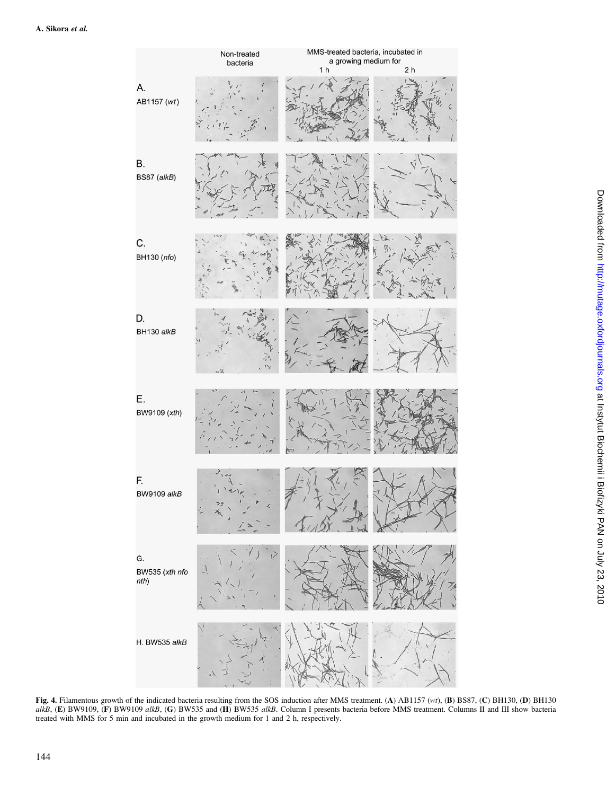

Fig. 4. Filamentous growth of the indicated bacteria resulting from the SOS induction after MMS treatment. (A) AB1157 (wt), (B) BS87, (C) BH130, (D) BH130 alkB, (E) BW9109, (F) BW9109 alkB, (G) BW535 and (H) BW535 alkB. Column I presents bacteria before MMS treatment. Columns II and III show bacteria treated with MMS for 5 min and incubated in the growth medium for 1 and 2 h, respectively.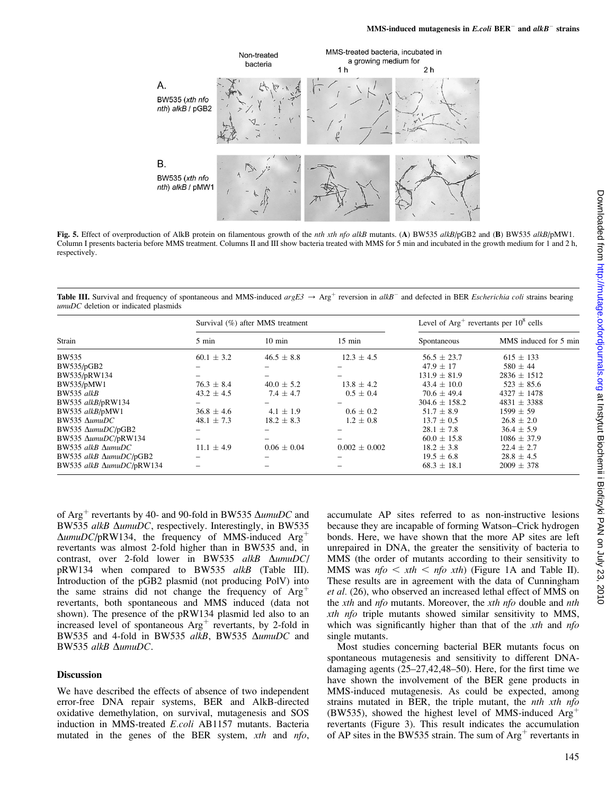

Fig. 5. Effect of overproduction of AlkB protein on filamentous growth of the *nth xth nfo alkB* mutants. (A) BW535 alkB/pGB2 and (B) BW535 alkB/pMW1. Column I presents bacteria before MMS treatment. Columns II and III show bacteria treated with MMS for 5 min and incubated in the growth medium for 1 and 2 h, respectively.

**Table III.** Survival and frequency of spontaneous and MMS-induced  $argE3 \rightarrow \text{Arg}^+$  reversion in  $alkB^-$  and defected in BER *Escherichia coli* strains bearing umuDC deletion or indicated plasmids

| Strain                    | Survival (%) after MMS treatment |                  |                   | Level of $Arg^+$ revertants per $10^8$ cells |                       |
|---------------------------|----------------------------------|------------------|-------------------|----------------------------------------------|-----------------------|
|                           | $5 \text{ min}$                  | $10 \text{ min}$ | $15 \text{ min}$  | Spontaneous                                  | MMS induced for 5 min |
| BW535                     | $60.1 \pm 3.2$                   | $46.5 \pm 8.8$   | $12.3 \pm 4.5$    | $56.5 \pm 23.7$                              | $615 \pm 133$         |
| BW535/pGB2                |                                  |                  |                   | $47.9 \pm 17$                                | $580 \pm 44$          |
| BW535/pRW134              |                                  |                  |                   | $131.9 \pm 81.9$                             | $2836 \pm 1512$       |
| BW535/pMW1                | $76.3 \pm 8.4$                   | $40.0 \pm 5.2$   | $13.8 \pm 4.2$    | $43.4 \pm 10.0$                              | $523 \pm 85.6$        |
| BW535 alkB                | $43.2 \pm 4.5$                   | $7.4 \pm 4.7$    | $0.5 \pm 0.4$     | $70.6 \pm 49.4$                              | $4327 \pm 1478$       |
| BW535 alkB/pRW134         |                                  |                  |                   | $304.6 \pm 158.2$                            | $4831 \pm 3388$       |
| BW535 alkB/pMW1           | $36.8 \pm 4.6$                   | $4.1 \pm 1.9$    | $0.6 \pm 0.2$     | $51.7 \pm 8.9$                               | $1599 \pm 59$         |
| $BW535$ $\Delta$ umuDC    | $48.1 \pm 7.3$                   | $18.2 \pm 8.3$   | $1.2 \pm 0.8$     | $13.7 \pm 0.5$                               | $26.8 \pm 2.0$        |
| BW535 AumuDC/pGB2         |                                  |                  |                   | $28.1 \pm 7.8$                               | $36.4 \pm 5.9$        |
| BW535 AumuDC/pRW134       |                                  |                  |                   | $60.0 \pm 15.8$                              | $1086 \pm 37.9$       |
| BW535 alkB $\Delta$ umuDC | $11.1 \pm 4.9$                   | $0.06 \pm 0.04$  | $0.002 \pm 0.002$ | $18.2 \pm 3.8$                               | $22.4 \pm 2.7$        |
| BW535 alkB AumuDC/pGB2    |                                  |                  |                   | $19.5 \pm 6.8$                               | $28.8 \pm 4.5$        |
| BW535 alkB AumuDC/pRW134  |                                  |                  |                   | $68.3 \pm 18.1$                              | $2009 \pm 378$        |

of Arg<sup>+</sup> revertants by 40- and 90-fold in BW535  $\Delta$ umuDC and BW535 alkB  $\Delta$ umuDC, respectively. Interestingly, in BW535  $\Delta$ umuDC/pRW134, the frequency of MMS-induced Arg<sup>+</sup> revertants was almost 2-fold higher than in BW535 and, in contrast, over 2-fold lower in BW535 alkB  $\Delta$ umuDC/ pRW134 when compared to BW535 alkB (Table III). Introduction of the pGB2 plasmid (not producing PolV) into the same strains did not change the frequency of  $Arg<sup>+</sup>$ revertants, both spontaneous and MMS induced (data not shown). The presence of the pRW134 plasmid led also to an increased level of spontaneous  $Arg<sup>+</sup>$  revertants, by 2-fold in BW535 and 4-fold in BW535 alkB, BW535  $\Delta$ umuDC and BW535 alkB  $\Delta$ umuDC.

## Discussion

We have described the effects of absence of two independent error-free DNA repair systems, BER and AlkB-directed oxidative demethylation, on survival, mutagenesis and SOS induction in MMS-treated E.coli AB1157 mutants. Bacteria mutated in the genes of the BER system, xth and nfo, accumulate AP sites referred to as non-instructive lesions because they are incapable of forming Watson–Crick hydrogen bonds. Here, we have shown that the more AP sites are left unrepaired in DNA, the greater the sensitivity of bacteria to MMS (the order of mutants according to their sensitivity to MMS was  $nfo \le xth \le nfo \ xth$  (Figure 1A and Table II). These results are in agreement with the data of Cunningham et al. (26), who observed an increased lethal effect of MMS on the *xth* and *nfo* mutants. Moreover, the *xth nfo* double and *nth* xth nfo triple mutants showed similar sensitivity to MMS, which was significantly higher than that of the  $xth$  and  $nf\ddot{o}$ single mutants.

Most studies concerning bacterial BER mutants focus on spontaneous mutagenesis and sensitivity to different DNAdamaging agents (25–27,42,48–50). Here, for the first time we have shown the involvement of the BER gene products in MMS-induced mutagenesis. As could be expected, among strains mutated in BER, the triple mutant, the *nth xth nfo* (BW535), showed the highest level of MMS-induced  $Arg<sup>+</sup>$ revertants (Figure 3). This result indicates the accumulation of AP sites in the BW535 strain. The sum of  $Arg<sup>+</sup>$  revertants in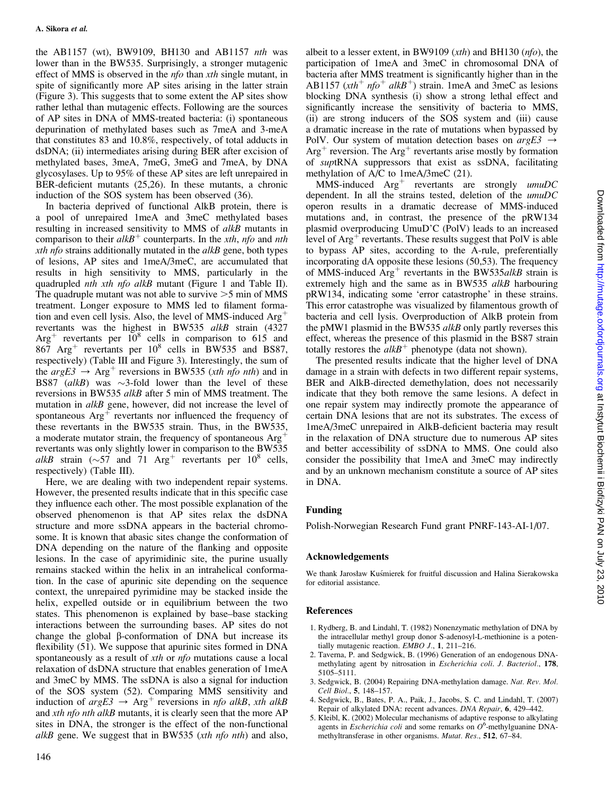the AB1157 (wt), BW9109, BH130 and AB1157 nth was lower than in the BW535. Surprisingly, a stronger mutagenic effect of MMS is observed in the *nfo* than *xth* single mutant, in spite of significantly more AP sites arising in the latter strain (Figure 3). This suggests that to some extent the AP sites show rather lethal than mutagenic effects. Following are the sources of AP sites in DNA of MMS-treated bacteria: (i) spontaneous depurination of methylated bases such as 7meA and 3-meA that constitutes 83 and 10.8%, respectively, of total adducts in dsDNA; (ii) intermediates arising during BER after excision of methylated bases, 3meA, 7meG, 3meG and 7meA, by DNA glycosylases. Up to 95% of these AP sites are left unrepaired in BER-deficient mutants (25,26). In these mutants, a chronic induction of the SOS system has been observed (36).

In bacteria deprived of functional AlkB protein, there is a pool of unrepaired 1meA and 3meC methylated bases resulting in increased sensitivity to MMS of alkB mutants in comparison to their  $alkB^+$  counterparts. In the *xth*, nfo and *nth* xth nfo strains additionally mutated in the  $alkB$  gene, both types of lesions, AP sites and 1meA/3meC, are accumulated that results in high sensitivity to MMS, particularly in the quadrupled nth xth nfo alkB mutant (Figure 1 and Table II). The quadruple mutant was not able to survive  $>5$  min of MMS treatment. Longer exposure to MMS led to filament formation and even cell lysis. Also, the level of MMS-induced  $Arg<sup>+</sup>$ revertants was the highest in BW535 alkB strain (4327 Arg<sup>+</sup> revertants per  $10^8$  cells in comparison to 615 and  $867$  Arg<sup>+</sup> revertants per  $10^8$  cells in BW535 and BS87, respectively) (Table III and Figure 3). Interestingly, the sum of the  $argE3 \rightarrow Arg^+$  reversions in BW535 (xth nfo nth) and in BS87 (alkB) was  $\sim$ 3-fold lower than the level of these reversions in BW535 alkB after 5 min of MMS treatment. The mutation in *alkB* gene, however, did not increase the level of spontaneous  $Arg<sup>+</sup>$  revertants nor influenced the frequency of these revertants in the BW535 strain. Thus, in the BW535, a moderate mutator strain, the frequency of spontaneous  $Arg<sup>+</sup>$ revertants was only slightly lower in comparison to the BW535 alkB strain ( $\sim$ 57 and 71 Arg<sup>+</sup> revertants per 10<sup>8</sup> cells, respectively) (Table III).

Here, we are dealing with two independent repair systems. However, the presented results indicate that in this specific case they influence each other. The most possible explanation of the observed phenomenon is that AP sites relax the dsDNA structure and more ssDNA appears in the bacterial chromosome. It is known that abasic sites change the conformation of DNA depending on the nature of the flanking and opposite lesions. In the case of apyrimidinic site, the purine usually remains stacked within the helix in an intrahelical conformation. In the case of apurinic site depending on the sequence context, the unrepaired pyrimidine may be stacked inside the helix, expelled outside or in equilibrium between the two states. This phenomenon is explained by base–base stacking interactions between the surrounding bases. AP sites do not change the global  $\beta$ -conformation of DNA but increase its flexibility (51). We suppose that apurinic sites formed in DNA spontaneously as a result of *xth* or *nfo* mutations cause a local relaxation of dsDNA structure that enables generation of 1meA and 3meC by MMS. The ssDNA is also a signal for induction of the SOS system (52). Comparing MMS sensitivity and induction of  $argE3 \rightarrow Arg^+$  reversions in nfo alkB, xth alkB and *xth nfo nth alkB* mutants, it is clearly seen that the more AP sites in DNA, the stronger is the effect of the non-functional alkB gene. We suggest that in BW535 (xth nfo nth) and also,

albeit to a lesser extent, in BW9109 (xth) and BH130 (nfo), the participation of 1meA and 3meC in chromosomal DNA of bacteria after MMS treatment is significantly higher than in the AB1157 ( $xth^+$  nfo<sup>+</sup> alkB<sup>+</sup>) strain. 1meA and 3meC as lesions blocking DNA synthesis (i) show a strong lethal effect and significantly increase the sensitivity of bacteria to MMS, (ii) are strong inducers of the SOS system and (iii) cause a dramatic increase in the rate of mutations when bypassed by PolV. Our system of mutation detection bases on  $argE3 \rightarrow$  $Arg<sup>+</sup>$  reversion. The Arg<sup>+</sup> revertants arise mostly by formation of suptRNA suppressors that exist as ssDNA, facilitating methylation of A/C to 1meA/3meC (21).

 $MMS$ -induced  $Arg<sup>+</sup>$  revertants are strongly umuDC dependent. In all the strains tested, deletion of the umuDC operon results in a dramatic decrease of MMS-induced mutations and, in contrast, the presence of the pRW134 plasmid overproducing UmuD'C (PolV) leads to an increased level of  $Arg<sup>+</sup>$  revertants. These results suggest that PolV is able to bypass AP sites, according to the A-rule, preferentially incorporating dA opposite these lesions (50,53). The frequency of MMS-induced  $Arg<sup>+</sup>$  revertants in the BW535alkB strain is extremely high and the same as in BW535 alkB harbouring pRW134, indicating some 'error catastrophe' in these strains. This error catastrophe was visualized by filamentous growth of bacteria and cell lysis. Overproduction of AlkB protein from the pMW1 plasmid in the BW535 *alkB* only partly reverses this effect, whereas the presence of this plasmid in the BS87 strain totally restores the  $alkB^+$  phenotype (data not shown).

The presented results indicate that the higher level of DNA damage in a strain with defects in two different repair systems, BER and AlkB-directed demethylation, does not necessarily indicate that they both remove the same lesions. A defect in one repair system may indirectly promote the appearance of certain DNA lesions that are not its substrates. The excess of 1meA/3meC unrepaired in AlkB-deficient bacteria may result in the relaxation of DNA structure due to numerous AP sites and better accessibility of ssDNA to MMS. One could also consider the possibility that 1meA and 3meC may indirectly and by an unknown mechanism constitute a source of AP sites in DNA.

# Funding

Polish-Norwegian Research Fund grant PNRF-143-AI-1/07.

## Acknowledgements

We thank Jarosław Kuśmierek for fruitful discussion and Halina Sierakowska for editorial assistance.

## References

- 1. Rydberg, B. and Lindahl, T. (1982) Nonenzymatic methylation of DNA by the intracellular methyl group donor S-adenosyl-L-methionine is a potentially mutagenic reaction. EMBO J., 1, 211–216.
- 2. Taverna, P. and Sedgwick, B. (1996) Generation of an endogenous DNAmethylating agent by nitrosation in Escherichia coli. J. Bacteriol., 178, 5105–5111.
- 3. Sedgwick, B. (2004) Repairing DNA-methylation damage. Nat. Rev. Mol. Cell Biol., 5, 148–157.
- 4. Sedgwick, B., Bates, P. A., Paik, J., Jacobs, S. C. and Lindahl, T. (2007) Repair of alkylated DNA: recent advances. DNA Repair, 6, 429–442.
- 5. Kleibl, K. (2002) Molecular mechanisms of adaptive response to alkylating agents in *Escherichia coli* and some remarks on  $O^6$ -methylguanine DNAmethyltransferase in other organisms. Mutat. Res., 512, 67–84.